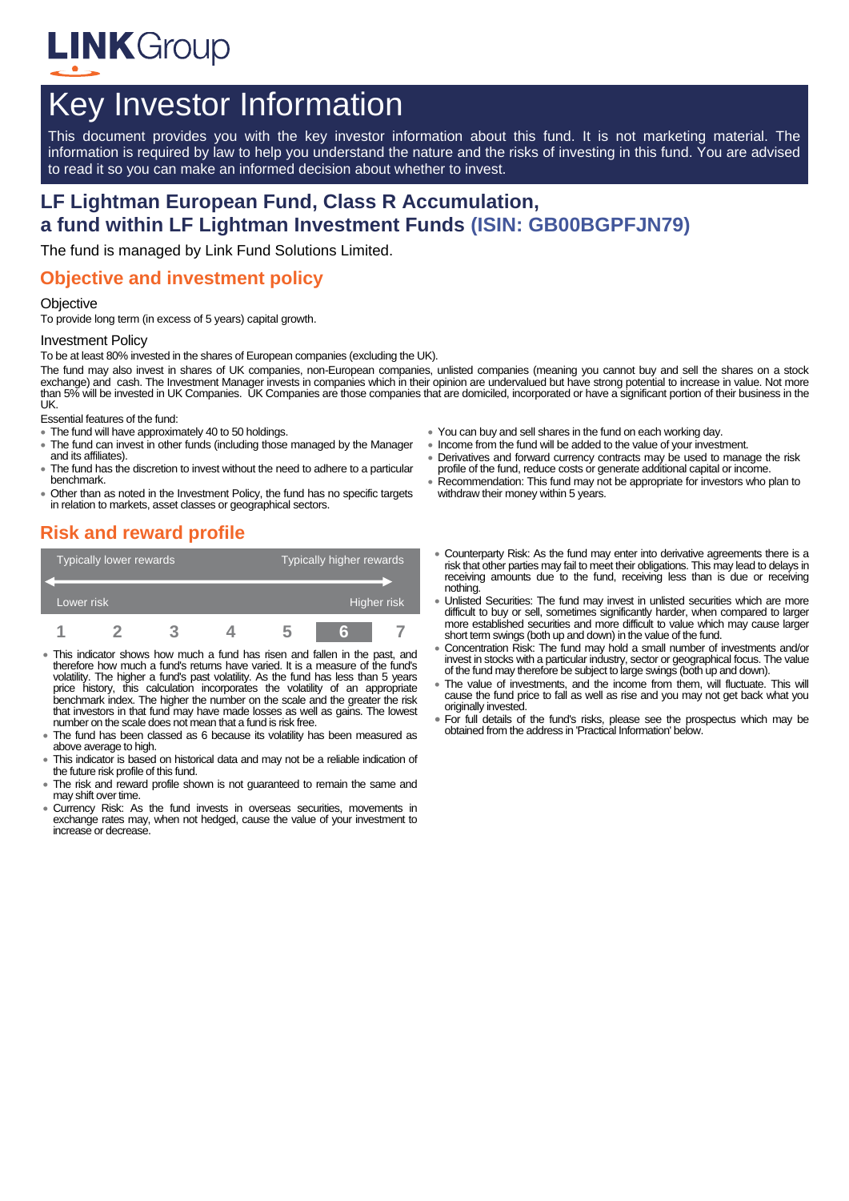

# Key Investor Information

This document provides you with the key investor information about this fund. It is not marketing material. The information is required by law to help you understand the nature and the risks of investing in this fund. You are advised to read it so you can make an informed decision about whether to invest.

# **LF Lightman European Fund, Class R Accumulation, a fund within LF Lightman Investment Funds (ISIN: GB00BGPFJN79)**

The fund is managed by Link Fund Solutions Limited.

### **Objective and investment policy**

#### **Objective**

To provide long term (in excess of 5 years) capital growth.

#### Investment Policy

To be at least 80% invested in the shares of European companies (excluding the UK).

The fund may also invest in shares of UK companies, non-European companies, unlisted companies (meaning you cannot buy and sell the shares on a stock exchange) and cash. The Investment Manager invests in companies which in their opinion are undervalued but have strong potential to increase in value. Not more than 5% will be invested in UK Companies. UK Companies are those companies that are domiciled, incorporated or have a significant portion of their business in the UK.

Essential features of the fund:

- The fund will have approximately 40 to 50 holdings.
- The fund can invest in other funds (including those managed by the Manager and its affiliates).
- The fund has the discretion to invest without the need to adhere to a particular benchmark.
- Other than as noted in the Investment Policy, the fund has no specific targets in relation to markets, asset classes or geographical sectors.

#### You can buy and sell shares in the fund on each working day.

- Income from the fund will be added to the value of your investment.
- Derivatives and forward currency contracts may be used to manage the risk profile of the fund, reduce costs or generate additional capital or income.
- Recommendation: This fund may not be appropriate for investors who plan to withdraw their money within 5 years.

# **Risk and reward profile**

| Typically lower rewards |  |  |  | Typically higher rewards |  |  |
|-------------------------|--|--|--|--------------------------|--|--|
|                         |  |  |  |                          |  |  |
| Lower risk              |  |  |  | Higher risk              |  |  |
|                         |  |  |  |                          |  |  |

- This indicator shows how much a fund has risen and fallen in the past, and therefore how much a fund's returns have varied. It is a measure of the fund's volatility. The higher a fund's past volatility. As the fund has less than 5 years price history, this calculation incorporates the volatility of an appropriate benchmark index. The higher the number on the scale and the greater the risk that investors in that fund may have made losses as well as gains. The lowest number on the scale does not mean that a fund is risk free.
- The fund has been classed as 6 because its volatility has been measured as above average to high.
- This indicator is based on historical data and may not be a reliable indication of the future risk profile of this fund.
- The risk and reward profile shown is not guaranteed to remain the same and may shift over time.
- Currency Risk: As the fund invests in overseas securities, movements in exchange rates may, when not hedged, cause the value of your investment to increase or decrease.
- Counterparty Risk: As the fund may enter into derivative agreements there is a risk that other parties may fail to meet their obligations. This may lead to delays in receiving amounts due to the fund, receiving less than is due or receiving nothing. Unlisted Securities: The fund may invest in unlisted securities which are more
- difficult to buy or sell, sometimes significantly harder, when compared to larger more established securities and more difficult to value which may cause larger short term swings (both up and down) in the value of the fund.
- Concentration Risk: The fund may hold a small number of investments and/or invest in stocks with a particular industry, sector or geographical focus. The value of the fund may therefore be subject to large swings (both up and down).
- The value of investments, and the income from them, will fluctuate. This will cause the fund price to fall as well as rise and you may not get back what you originally invested.
- For full details of the fund's risks, please see the prospectus which may be obtained from the address in 'Practical Information' below.